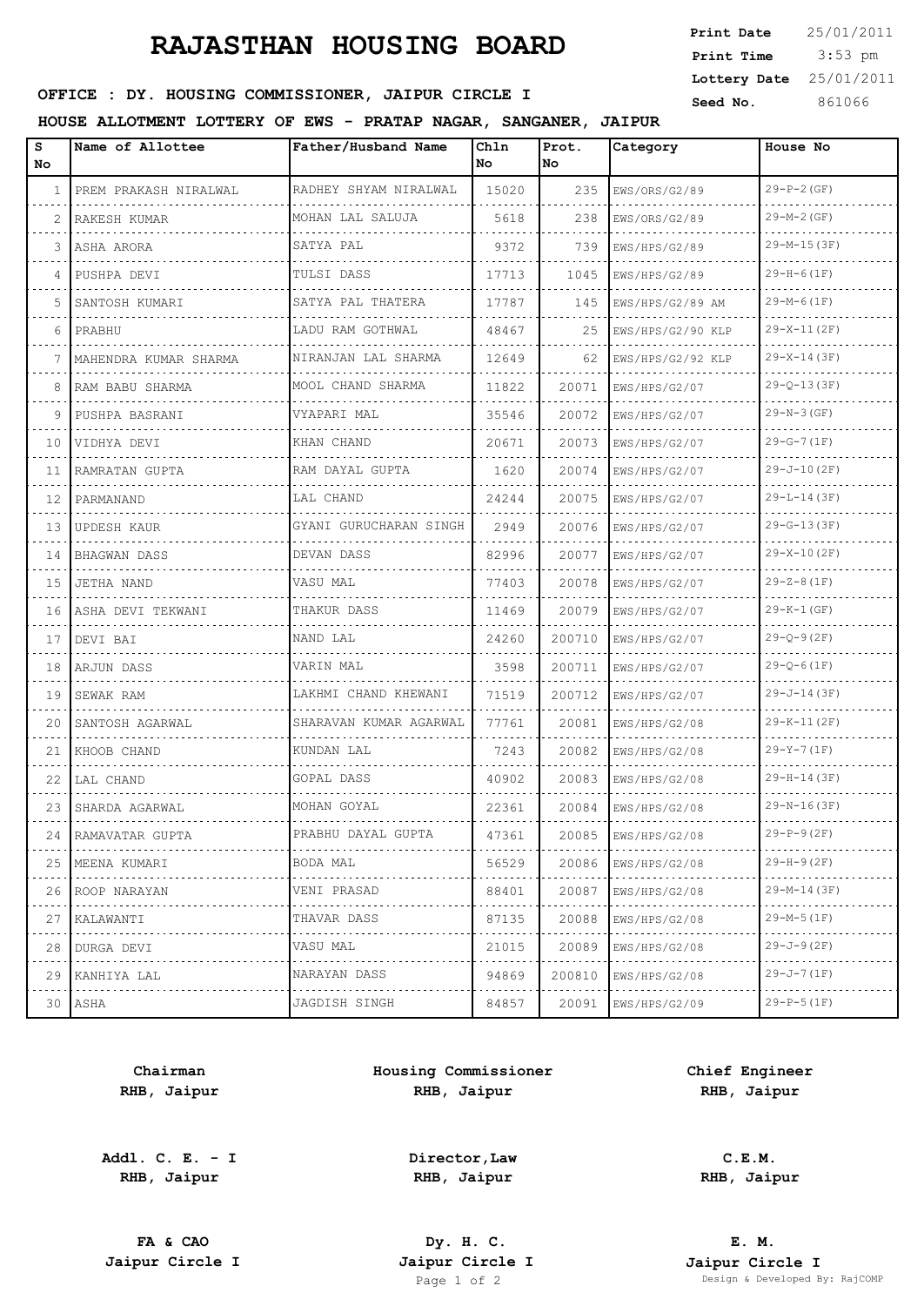## **RAJASTHAN HOUSING BOARD**

 3:53 pm **Print Date**  $25/01/2011$ **Print Time Lottery Date** 25/01/2011

## **SEED OFFICE : DY. HOUSING COMMISSIONER, JAIPUR CIRCLE I** Seed No. 361066

### **HOUSE ALLOTMENT LOTTERY OF EWS - PRATAP NAGAR, SANGANER, JAIPUR**

| s<br>No. | Name of Allottee      | Father/Husband Name    | Chln<br>No. | Prot.<br><b>No</b> | Category               | House No           |
|----------|-----------------------|------------------------|-------------|--------------------|------------------------|--------------------|
| 1        | PREM PRAKASH NIRALWAL | RADHEY SHYAM NIRALWAL  | 15020       | 235                | EWS/ORS/G2/89          | $29-P-2(GF)$       |
| 2        | RAKESH KUMAR          | MOHAN LAL SALUJA       | 5618        | 238                | EWS/ORS/G2/89          | $29-M-2(GF)$       |
| 3        | ASHA ARORA            | SATYA PAL              | 9372        | 739                | EWS/HPS/G2/89          | $29-M-15(3F)$      |
| 4        | PUSHPA DEVI           | TULSI DASS             | 17713       | 1045               | EWS/HPS/G2/89          | $29-H-6(1F)$       |
| 5        | SANTOSH KUMARI        | SATYA PAL THATERA      | 17787       | 145                | EWS/HPS/G2/89 AM       | $29-M-6(1F)$       |
| 6        | PRABHU                | LADU RAM GOTHWAL<br>.  | 48467       | 25                 | EWS/HPS/G2/90 KLP<br>. | $29-X-11(2F)$      |
| 7        | MAHENDRA KUMAR SHARMA | NIRANJAN LAL SHARMA    | 12649       | 62                 | EWS/HPS/G2/92 KLP      | $29-X-14(3F)$      |
| 8        | RAM BABU SHARMA       | MOOL CHAND SHARMA<br>. | 11822       | 20071              | EWS/HPS/G2/07          | $29 - Q - 13(3F)$  |
| 9        | PUSHPA BASRANI        | VYAPARI MAL            | 35546       | 20072              | EWS/HPS/G2/07          | $29-N-3(GF)$       |
| 10       | VIDHYA DEVI           | KHAN CHAND             | 20671       | 20073              | EWS/HPS/G2/07          | $29-G-7(1F)$       |
| 11       | RAMRATAN GUPTA        | .<br>RAM DAYAL GUPTA   | 1620        | 20074              | EWS/HPS/G2/07          | $29 - J - 10 (2F)$ |
| 12       | PARMANAND             | LAL CHAND              | 24244       | 20075              | EWS/HPS/G2/07          | $29-L-14(3F)$      |
| 13       | UPDESH KAUR           | GYANI GURUCHARAN SINGH | 2949        | 20076              | EWS/HPS/G2/07          | $29-G-13(3F)$      |
| 14       | BHAGWAN DASS          | DEVAN DASS             | 82996       | 20077              | EWS/HPS/G2/07          | $29-X-10(2F)$      |
| 15       | JETHA NAND            | VASU MAL               | 77403       | 20078              | EWS/HPS/G2/07          | $29 - Z - 8(1F)$   |
| 16       | ASHA DEVI TEKWANI     | THAKUR DASS            | 11469       | 20079              | EWS/HPS/G2/07          | $29 - K - 1$ (GF)  |
| 17       | DEVI BAI              | .<br>NAND LAL          | 24260       | 200710             | EWS/HPS/G2/07          | $29 - Q - 9(2F)$   |
| 18       | ARJUN DASS            | VARIN MAL              | 3598        | 200711             | EWS/HPS/G2/07          | $29 - Q - 6(1F)$   |
| 19       | SEWAK RAM             | LAKHMI CHAND KHEWANI   | 71519       | 200712             | EWS/HPS/G2/07          | $29 - J - 14 (3F)$ |
| 20       | SANTOSH AGARWAL       | SHARAVAN KUMAR AGARWAL | 77761       | 20081              | EWS/HPS/G2/08          | $29-K-11(2F)$      |
| 21       | KHOOB CHAND           | KUNDAN LAL             | 7243        | 20082              | EWS/HPS/G2/08          | $29-Y-7(1F)$       |
| 22       | LAL CHAND             | GOPAL DASS             | 40902       | 20083              | EWS/HPS/G2/08          | $29-H-14(3F)$      |
| 23       | SHARDA AGARWAL        | MOHAN GOYAL            | 22361       | 20084              | EWS/HPS/G2/08          | $29-N-16(3F)$      |
|          | 24 RAMAVATAR GUPTA    | PRABHU DAYAL GUPTA     | 47361       | 20085              | EWS/HPS/G2/08          | $29-P-9(2F)$       |
| 25       | MEENA KUMARI          | BODA MAL               | 56529       | 20086              | EWS/HPS/G2/08          | $29-H-9(2F)$       |
| 26       | ROOP NARAYAN          | VENI PRASAD            | 88401       | 20087              | EWS/HPS/G2/08          | $29-M-14(3F)$      |
| 27       | KALAWANTI             | THAVAR DASS<br>.       | 87135       | 20088              | EWS/HPS/G2/08          | 29-M-5 (1F)        |
| 28       | DURGA DEVI            | VASU MAL               | 21015       | 20089              | EWS/HPS/G2/08          | $29 - J - 9(2F)$   |
| 29       | KANHIYA LAL           | NARAYAN DASS           | 94869       | 200810             | EWS/HPS/G2/08          | 29-J-7 (1F)        |
|          | 30 ASHA               | JAGDISH SINGH          | 84857       | 20091              | EWS/HPS/G2/09          | $29-P-5(1F)$       |
|          |                       |                        |             |                    |                        |                    |

**Chairman RHB, Jaipur**

**Addl. C. E. - I RHB, Jaipur**

**Housing Commissioner RHB, Jaipur**

**Chief Engineer RHB, Jaipur**

**C.E.M. RHB, Jaipur**

**FA & CAO Dy. H. C.**

**Director,Law RHB, Jaipur**

**E. M. Jaipur Circle I Jaipur Circle I Jaipur Circle I Jaipur Circle I Jaipur Circle I Page 1 of 2 Design & Developed B** Design & Developed By: RajCOMP